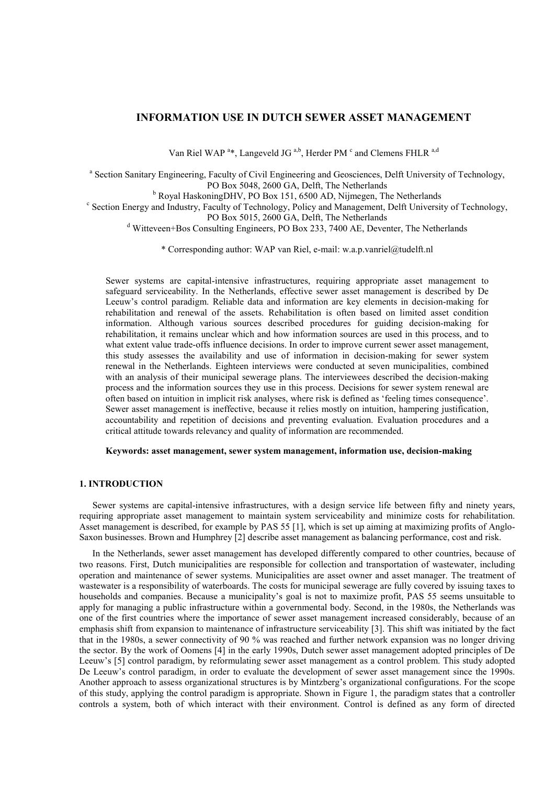# **INFORMATION USE IN DUTCH SEWER ASSET MANAGEMENT**

Van Riel WAP<sup>a\*</sup>, Langeveld JG<sup>a,b</sup>, Herder PM<sup>c</sup> and Clemens FHLR<sup>a,d</sup>

<sup>a</sup> Section Sanitary Engineering, Faculty of Civil Engineering and Geosciences, Delft University of Technology, PO Box 5048, 2600 GA, Delft, The Netherlands<sup>b</sup> Roval HaskoningDHV, PO Box 151, 6500 AD, Nijmegen, The Netherlands

<sup>c</sup> Section Energy and Industry, Faculty of Technology, Policy and Management, Delft University of Technology,

PO Box 5015, 2600 GA, Delft, The Netherlands

<sup>d</sup> Witteveen+Bos Consulting Engineers, PO Box 233, 7400 AE, Deventer, The Netherlands

\* Corresponding author: WAP van Riel, e-mail: w.a.p.vanriel@tudelft.nl

Sewer systems are capital-intensive infrastructures, requiring appropriate asset management to safeguard serviceability. In the Netherlands, effective sewer asset management is described by De Leeuw's control paradigm. Reliable data and information are key elements in decision-making for rehabilitation and renewal of the assets. Rehabilitation is often based on limited asset condition information. Although various sources described procedures for guiding decision-making for rehabilitation, it remains unclear which and how information sources are used in this process, and to what extent value trade-offs influence decisions. In order to improve current sewer asset management, this study assesses the availability and use of information in decision-making for sewer system renewal in the Netherlands. Eighteen interviews were conducted at seven municipalities, combined with an analysis of their municipal sewerage plans. The interviewees described the decision-making process and the information sources they use in this process. Decisions for sewer system renewal are often based on intuition in implicit risk analyses, where risk is defined as 'feeling times consequence'. Sewer asset management is ineffective, because it relies mostly on intuition, hampering justification, accountability and repetition of decisions and preventing evaluation. Evaluation procedures and a critical attitude towards relevancy and quality of information are recommended.

**Keywords: asset management, sewer system management, information use, decision-making**

## **1. INTRODUCTION**

Sewer systems are capital-intensive infrastructures, with a design service life between fifty and ninety years, requiring appropriate asset management to maintain system serviceability and minimize costs for rehabilitation. Asset management is described, for example by PAS 55 [\[1\]](#page-4-0), which is set up aiming at maximizing profits of Anglo-Saxon businesses. Brown and Humphrey [\[2\]](#page-4-1) describe asset management as balancing performance, cost and risk.

In the Netherlands, sewer asset management has developed differently compared to other countries, because of two reasons. First, Dutch municipalities are responsible for collection and transportation of wastewater, including operation and maintenance of sewer systems. Municipalities are asset owner and asset manager. The treatment of wastewater is a responsibility of waterboards. The costs for municipal sewerage are fully covered by issuing taxes to households and companies. Because a municipality's goal is not to maximize profit, PAS 55 seems unsuitable to apply for managing a public infrastructure within a governmental body. Second, in the 1980s, the Netherlands was one of the first countries where the importance of sewer asset management increased considerably, because of an emphasis shift from expansion to maintenance of infrastructure serviceability [\[3\]](#page-4-2). This shift was initiated by the fact that in the 1980s, a sewer connectivity of 90 % was reached and further network expansion was no longer driving the sector. By the work of Oomens [\[4\]](#page-5-0) in the early 1990s, Dutch sewer asset management adopted principles of De Leeuw's [\[5\]](#page-5-1) control paradigm, by reformulating sewer asset management as a control problem. This study adopted De Leeuw's control paradigm, in order to evaluate the development of sewer asset management since the 1990s. Another approach to assess organizational structures is by Mintzberg's organizational configurations. For the scope of this study, applying the control paradigm is appropriate. Shown in [Figure 1,](#page-1-0) the paradigm states that a controller controls a system, both of which interact with their environment. Control is defined as any form of directed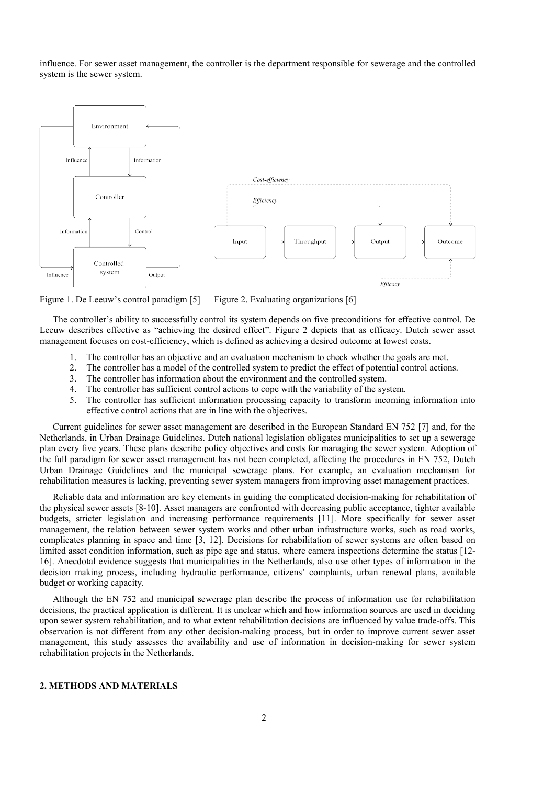influence. For sewer asset management, the controller is the department responsible for sewerage and the controlled system is the sewer system.



<span id="page-1-0"></span>Figure 1. De Leeuw's control paradigm [\[5\]](#page-5-1) Figure 2. Evaluating organizations [\[6\]](#page-5-2)

The controller's ability to successfully control its system depends on five preconditions for effective control. De Leeuw describes effective as "achieving the desired effect". [Figure 2](#page-1-1) depicts that as efficacy. Dutch sewer asset management focuses on cost-efficiency, which is defined as achieving a desired outcome at lowest costs.

- <span id="page-1-1"></span>1. The controller has an objective and an evaluation mechanism to check whether the goals are met.
- 2. The controller has a model of the controlled system to predict the effect of potential control actions.
- 3. The controller has information about the environment and the controlled system.
- 4. The controller has sufficient control actions to cope with the variability of the system.
- 5. The controller has sufficient information processing capacity to transform incoming information into effective control actions that are in line with the objectives.

Current guidelines for sewer asset management are described in the European Standard EN 752 [\[7\]](#page-5-3) and, for the Netherlands, in Urban Drainage Guidelines. Dutch national legislation obligates municipalities to set up a sewerage plan every five years. These plans describe policy objectives and costs for managing the sewer system. Adoption of the full paradigm for sewer asset management has not been completed, affecting the procedures in EN 752, Dutch Urban Drainage Guidelines and the municipal sewerage plans. For example, an evaluation mechanism for rehabilitation measures is lacking, preventing sewer system managers from improving asset management practices.

Reliable data and information are key elements in guiding the complicated decision-making for rehabilitation of the physical sewer assets [\[8-10\]](#page-5-4). Asset managers are confronted with decreasing public acceptance, tighter available budgets, stricter legislation and increasing performance requirements [\[11\]](#page-5-5). More specifically for sewer asset management, the relation between sewer system works and other urban infrastructure works, such as road works, complicates planning in space and time [\[3,](#page-4-2) [12\]](#page-5-6). Decisions for rehabilitation of sewer systems are often based on limited asset condition information, such as pipe age and status, where camera inspections determine the status [\[12-](#page-5-6) [16\]](#page-5-6). Anecdotal evidence suggests that municipalities in the Netherlands, also use other types of information in the decision making process, including hydraulic performance, citizens' complaints, urban renewal plans, available budget or working capacity.

Although the EN 752 and municipal sewerage plan describe the process of information use for rehabilitation decisions, the practical application is different. It is unclear which and how information sources are used in deciding upon sewer system rehabilitation, and to what extent rehabilitation decisions are influenced by value trade-offs. This observation is not different from any other decision-making process, but in order to improve current sewer asset management, this study assesses the availability and use of information in decision-making for sewer system rehabilitation projects in the Netherlands.

#### **2. METHODS AND MATERIALS**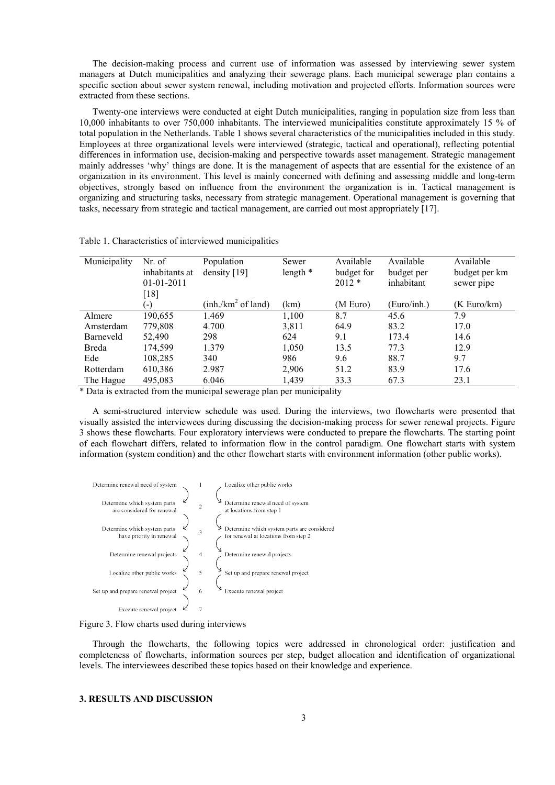The decision-making process and current use of information was assessed by interviewing sewer system managers at Dutch municipalities and analyzing their sewerage plans. Each municipal sewerage plan contains a specific section about sewer system renewal, including motivation and projected efforts. Information sources were extracted from these sections.

Twenty-one interviews were conducted at eight Dutch municipalities, ranging in population size from less than 10,000 inhabitants to over 750,000 inhabitants. The interviewed municipalities constitute approximately 15 % of total population in the Netherlands. [Table 1](#page-2-0) shows several characteristics of the municipalities included in this study. Employees at three organizational levels were interviewed (strategic, tactical and operational), reflecting potential differences in information use, decision-making and perspective towards asset management. Strategic management mainly addresses 'why' things are done. It is the management of aspects that are essential for the existence of an organization in its environment. This level is mainly concerned with defining and assessing middle and long-term objectives, strongly based on influence from the environment the organization is in. Tactical management is organizing and structuring tasks, necessary from strategic management. Operational management is governing that tasks, necessary from strategic and tactical management, are carried out most appropriately [\[17\]](#page-5-7).

| Municipality | Nr. of<br>inhabitants at | Population<br>density $[19]$   | Sewer<br>length $*$ | Available<br>budget for | Available<br>budget per | Available<br>budget per km |
|--------------|--------------------------|--------------------------------|---------------------|-------------------------|-------------------------|----------------------------|
|              | $01 - 01 - 2011$<br>[18] |                                |                     | $2012*$                 | inhabitant              | sewer pipe                 |
|              | $-1$                     | (inh./km <sup>2</sup> of land) | (km)                | (M Euro)                | (Euro/inh.)             | (K Euro/km)                |
|              |                          |                                |                     |                         |                         |                            |
| Almere       | 190,655                  | 1.469                          | 1,100               | 8.7                     | 45.6                    | 7.9                        |
| Amsterdam    | 779,808                  | 4.700                          | 3,811               | 64.9                    | 83.2                    | 17.0                       |
| Barneveld    | 52,490                   | 298                            | 624                 | 9.1                     | 173.4                   | 14.6                       |
| <b>Breda</b> | 174,599                  | 1.379                          | 1,050               | 13.5                    | 77.3                    | 12.9                       |
| Ede          | 108,285                  | 340                            | 986                 | 9.6                     | 88.7                    | 9.7                        |
| Rotterdam    | 610,386                  | 2.987                          | 2,906               | 51.2                    | 83.9                    | 17.6                       |
| The Hague    | 495,083                  | 6.046                          | 1,439               | 33.3                    | 67.3                    | 23.1                       |

<span id="page-2-0"></span>Table 1. Characteristics of interviewed municipalities

\* Data is extracted from the municipal sewerage plan per municipality

A semi-structured interview schedule was used. During the interviews, two flowcharts were presented that visually assisted the interviewees during discussing the decision-making process for sewer renewal projects. [Figure](#page-2-1)  [3](#page-2-1) shows these flowcharts. Four exploratory interviews were conducted to prepare the flowcharts. The starting point of each flowchart differs, related to information flow in the control paradigm. One flowchart starts with system information (system condition) and the other flowchart starts with environment information (other public works).

| Determine renewal need of system                           |   | Localize other public works                                                         |
|------------------------------------------------------------|---|-------------------------------------------------------------------------------------|
| Determine which system parts<br>are considered for renewal | 2 | Determine renewal need of system<br>at locations from step 1                        |
| Determine which system parts<br>have priority in renewal   | 3 | Determine which system parts are considered<br>for renewal at locations from step 2 |
| Determine renewal projects                                 | 4 | Determine renewal projects                                                          |
| Localize other public works                                | 5 | Set up and prepare renewal project                                                  |
| Set up and prepare renewal project                         | 6 | Execute renewal project                                                             |
| Execute renewal project                                    |   |                                                                                     |

<span id="page-2-1"></span>Figure 3. Flow charts used during interviews

Through the flowcharts, the following topics were addressed in chronological order: justification and completeness of flowcharts, information sources per step, budget allocation and identification of organizational levels. The interviewees described these topics based on their knowledge and experience.

### **3. RESULTS AND DISCUSSION**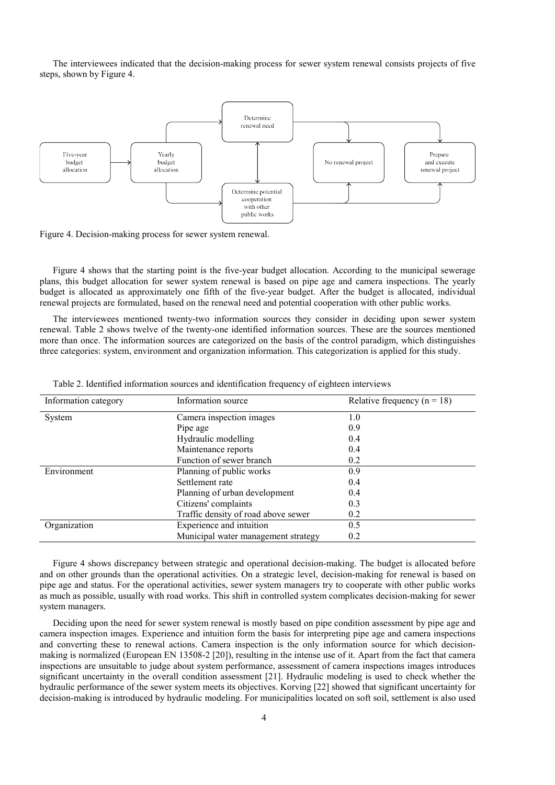The interviewees indicated that the decision-making process for sewer system renewal consists projects of five steps, shown b[y Figure 4.](#page-3-0)



<span id="page-3-0"></span>Figure 4. Decision-making process for sewer system renewal.

[Figure 4](#page-3-0) shows that the starting point is the five-year budget allocation. According to the municipal sewerage plans, this budget allocation for sewer system renewal is based on pipe age and camera inspections. The yearly budget is allocated as approximately one fifth of the five-year budget. After the budget is allocated, individual renewal projects are formulated, based on the renewal need and potential cooperation with other public works.

The interviewees mentioned twenty-two information sources they consider in deciding upon sewer system renewal. [Table 2](#page-3-1) shows twelve of the twenty-one identified information sources. These are the sources mentioned more than once. The information sources are categorized on the basis of the control paradigm, which distinguishes three categories: system, environment and organization information. This categorization is applied for this study.

| Information category | Information source                  | Relative frequency ( $n = 18$ ) |  |
|----------------------|-------------------------------------|---------------------------------|--|
| System               | Camera inspection images            | 1.0                             |  |
|                      | Pipe age                            | 0.9                             |  |
|                      | Hydraulic modelling                 | 0.4                             |  |
|                      | Maintenance reports                 | 0.4                             |  |
|                      | Function of sewer branch            | 0.2                             |  |
| Environment          | Planning of public works            | 0.9                             |  |
|                      | Settlement rate                     | 0.4                             |  |
|                      | Planning of urban development       | 0.4                             |  |
|                      | Citizens' complaints                | 0.3                             |  |
|                      | Traffic density of road above sewer | 0.2                             |  |
| Organization         | Experience and intuition            | 0.5                             |  |
|                      | Municipal water management strategy | 0.2                             |  |

<span id="page-3-1"></span>Table 2. Identified information sources and identification frequency of eighteen interviews

[Figure 4](#page-3-0) shows discrepancy between strategic and operational decision-making. The budget is allocated before and on other grounds than the operational activities. On a strategic level, decision-making for renewal is based on pipe age and status. For the operational activities, sewer system managers try to cooperate with other public works as much as possible, usually with road works. This shift in controlled system complicates decision-making for sewer system managers.

Deciding upon the need for sewer system renewal is mostly based on pipe condition assessment by pipe age and camera inspection images. Experience and intuition form the basis for interpreting pipe age and camera inspections and converting these to renewal actions. Camera inspection is the only information source for which decisionmaking is normalized (European EN 13508-2 [\[20\]](#page-5-10)), resulting in the intense use of it. Apart from the fact that camera inspections are unsuitable to judge about system performance, assessment of camera inspections images introduces significant uncertainty in the overall condition assessment [\[21\]](#page-5-11). Hydraulic modeling is used to check whether the hydraulic performance of the sewer system meets its objectives. Korving [\[22\]](#page-5-12) showed that significant uncertainty for decision-making is introduced by hydraulic modeling. For municipalities located on soft soil, settlement is also used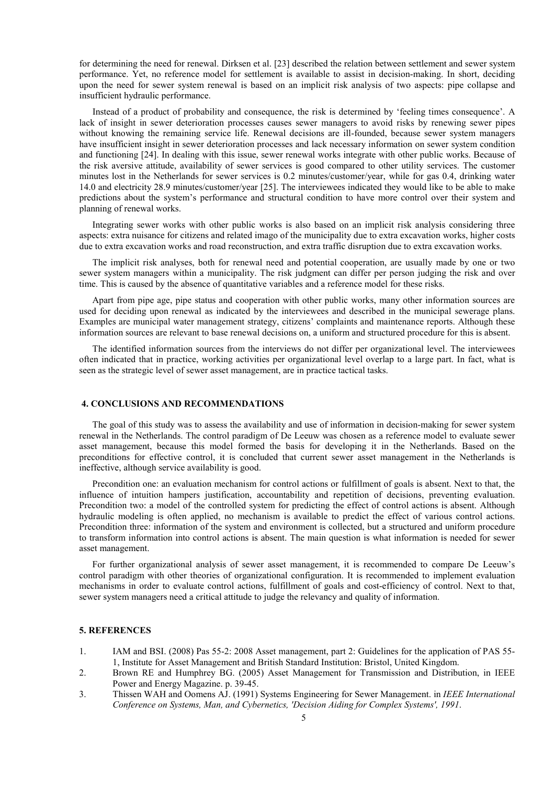for determining the need for renewal. Dirksen et al. [\[23\]](#page-5-13) described the relation between settlement and sewer system performance. Yet, no reference model for settlement is available to assist in decision-making. In short, deciding upon the need for sewer system renewal is based on an implicit risk analysis of two aspects: pipe collapse and insufficient hydraulic performance.

Instead of a product of probability and consequence, the risk is determined by 'feeling times consequence'. A lack of insight in sewer deterioration processes causes sewer managers to avoid risks by renewing sewer pipes without knowing the remaining service life. Renewal decisions are ill-founded, because sewer system managers have insufficient insight in sewer deterioration processes and lack necessary information on sewer system condition and functioning [\[24\]](#page-5-14). In dealing with this issue, sewer renewal works integrate with other public works. Because of the risk aversive attitude, availability of sewer services is good compared to other utility services. The customer minutes lost in the Netherlands for sewer services is 0.2 minutes/customer/year, while for gas 0.4, drinking water 14.0 and electricity 28.9 minutes/customer/year [\[25\]](#page-5-15). The interviewees indicated they would like to be able to make predictions about the system's performance and structural condition to have more control over their system and planning of renewal works.

Integrating sewer works with other public works is also based on an implicit risk analysis considering three aspects: extra nuisance for citizens and related imago of the municipality due to extra excavation works, higher costs due to extra excavation works and road reconstruction, and extra traffic disruption due to extra excavation works.

The implicit risk analyses, both for renewal need and potential cooperation, are usually made by one or two sewer system managers within a municipality. The risk judgment can differ per person judging the risk and over time. This is caused by the absence of quantitative variables and a reference model for these risks.

Apart from pipe age, pipe status and cooperation with other public works, many other information sources are used for deciding upon renewal as indicated by the interviewees and described in the municipal sewerage plans. Examples are municipal water management strategy, citizens' complaints and maintenance reports. Although these information sources are relevant to base renewal decisions on, a uniform and structured procedure for this is absent.

The identified information sources from the interviews do not differ per organizational level. The interviewees often indicated that in practice, working activities per organizational level overlap to a large part. In fact, what is seen as the strategic level of sewer asset management, are in practice tactical tasks.

### **4. CONCLUSIONS AND RECOMMENDATIONS**

The goal of this study was to assess the availability and use of information in decision-making for sewer system renewal in the Netherlands. The control paradigm of De Leeuw was chosen as a reference model to evaluate sewer asset management, because this model formed the basis for developing it in the Netherlands. Based on the preconditions for effective control, it is concluded that current sewer asset management in the Netherlands is ineffective, although service availability is good.

Precondition one: an evaluation mechanism for control actions or fulfillment of goals is absent. Next to that, the influence of intuition hampers justification, accountability and repetition of decisions, preventing evaluation. Precondition two: a model of the controlled system for predicting the effect of control actions is absent. Although hydraulic modeling is often applied, no mechanism is available to predict the effect of various control actions. Precondition three: information of the system and environment is collected, but a structured and uniform procedure to transform information into control actions is absent. The main question is what information is needed for sewer asset management.

For further organizational analysis of sewer asset management, it is recommended to compare De Leeuw's control paradigm with other theories of organizational configuration. It is recommended to implement evaluation mechanisms in order to evaluate control actions, fulfillment of goals and cost-efficiency of control. Next to that, sewer system managers need a critical attitude to judge the relevancy and quality of information.

### **5. REFERENCES**

- <span id="page-4-0"></span>1. IAM and BSI. (2008) Pas 55-2: 2008 Asset management, part 2: Guidelines for the application of PAS 55- 1, Institute for Asset Management and British Standard Institution: Bristol, United Kingdom.
- <span id="page-4-1"></span>2. Brown RE and Humphrey BG. (2005) Asset Management for Transmission and Distribution, in IEEE Power and Energy Magazine. p. 39-45.
- <span id="page-4-2"></span>3. Thissen WAH and Oomens AJ. (1991) Systems Engineering for Sewer Management. in *IEEE International Conference on Systems, Man, and Cybernetics, 'Decision Aiding for Complex Systems', 1991*.